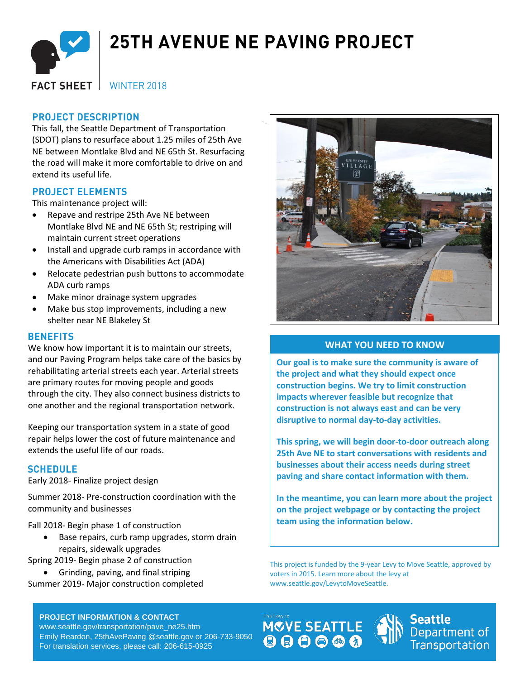

# **25TH AVENUE NE PAVING PROJECT**

**WINTER 2018 FACT SHEET** 

## **PROJECT DESCRIPTION**

This fall, the Seattle Department of Transportation (SDOT) plans to resurface about 1.25 miles of 25th Ave NE between Montlake Blvd and NE 65th St. Resurfacing the road will make it more comfortable to drive on and extend its useful life.

## **PROJECT ELEMENTS**

This maintenance project will:

- Repave and restripe 25th Ave NE between Montlake Blvd NE and NE 65th St; restriping will maintain current street operations
- Install and upgrade curb ramps in accordance with the Americans with Disabilities Act (ADA)
- Relocate pedestrian push buttons to accommodate ADA curb ramps
- Make minor drainage system upgrades
- Make bus stop improvements, including a new shelter near NE Blakeley St

#### **BENEFITS**

We know how important it is to maintain our streets, and our Paving Program helps take care of the basics by rehabilitating arterial streets each year. Arterial streets are primary routes for moving people and goods through the city. They also connect business districts to one another and the regional transportation network.

Keeping our transportation system in a state of good repair helps lower the cost of future maintenance and extends the useful life of our roads.

## **SCHEDULE**

Early 2018- Finalize project design

Summer 2018- Pre-construction coordination with the community and businesses

Fall 2018- Begin phase 1 of construction

- Base repairs, curb ramp upgrades, storm drain repairs, sidewalk upgrades
- Spring 2019- Begin phase 2 of construction
- Grinding, paving, and final striping Summer 2019- Major construction completed

#### **PROJECT INFORMATION & CONTACT**

www.seattle.gov/transportation/pave\_ne25.htm Emily Reardon, 25thAvePaving @seattle.gov or 206-733-9050 For translation services, please call: 206-615-0925



### **WHAT YOU NEED TO KNOW**

**Our goal is to make sure the community is aware of the project and what they should expect once construction begins. We try to limit construction impacts wherever feasible but recognize that construction is not always east and can be very disruptive to normal day-to-day activities.** 

**This spring, we will begin door-to-door outreach along 25th Ave NE to start conversations with residents and businesses about their access needs during street paving and share contact information with them.** 

**In the meantime, you can learn more about the project on the project webpage or by contacting the project team using the information below.**

This project is funded by the 9-year Levy to Move Seattle, approved by voters in 2015. Learn more about the levy at www.seattle.gov/LevytoMoveSeattle.





**Seattle** Department of **Transportation**